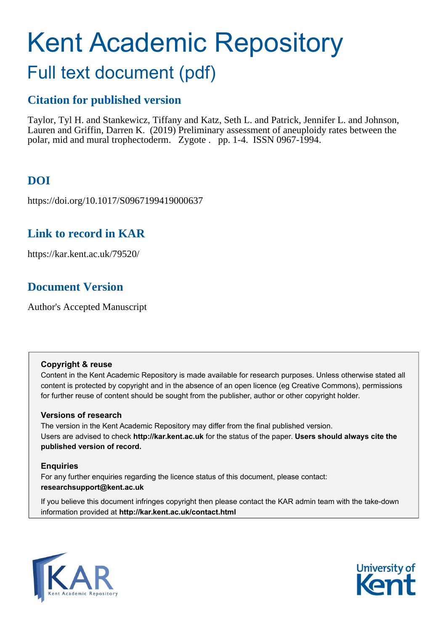# Kent Academic Repository

## Full text document (pdf)

## **Citation for published version**

Taylor, Tyl H. and Stankewicz, Tiffany and Katz, Seth L. and Patrick, Jennifer L. and Johnson, Lauren and Griffin, Darren K. (2019) Preliminary assessment of aneuploidy rates between the polar, mid and mural trophectoderm. Zygote . pp. 1-4. ISSN 0967-1994.

## **DOI**

https://doi.org/10.1017/S0967199419000637

## **Link to record in KAR**

https://kar.kent.ac.uk/79520/

## **Document Version**

Author's Accepted Manuscript

#### **Copyright & reuse**

Content in the Kent Academic Repository is made available for research purposes. Unless otherwise stated all content is protected by copyright and in the absence of an open licence (eg Creative Commons), permissions for further reuse of content should be sought from the publisher, author or other copyright holder.

#### **Versions of research**

The version in the Kent Academic Repository may differ from the final published version. Users are advised to check **http://kar.kent.ac.uk** for the status of the paper. **Users should always cite the published version of record.**

#### **Enquiries**

For any further enquiries regarding the licence status of this document, please contact: **researchsupport@kent.ac.uk**

If you believe this document infringes copyright then please contact the KAR admin team with the take-down information provided at **http://kar.kent.ac.uk/contact.html**



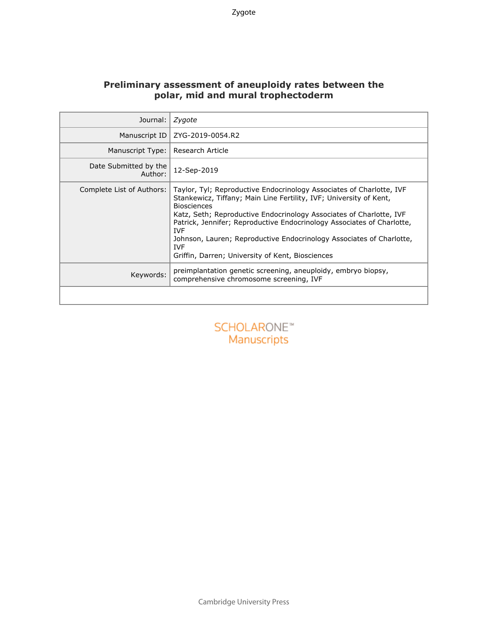#### **Preliminary assessment of aneuploidy rates between the polar, mid and mural trophectoderm**

| Journal:                         | Zygote                                                                                                                                                                                                                                                                                                                                                                                                                                                                    |
|----------------------------------|---------------------------------------------------------------------------------------------------------------------------------------------------------------------------------------------------------------------------------------------------------------------------------------------------------------------------------------------------------------------------------------------------------------------------------------------------------------------------|
| Manuscript ID                    | ZYG-2019-0054.R2                                                                                                                                                                                                                                                                                                                                                                                                                                                          |
| Manuscript Type:                 | Research Article                                                                                                                                                                                                                                                                                                                                                                                                                                                          |
| Date Submitted by the<br>Author: | 12-Sep-2019                                                                                                                                                                                                                                                                                                                                                                                                                                                               |
| Complete List of Authors:        | Taylor, Tyl; Reproductive Endocrinology Associates of Charlotte, IVF<br>Stankewicz, Tiffany; Main Line Fertility, IVF; University of Kent,<br><b>Biosciences</b><br>Katz, Seth; Reproductive Endocrinology Associates of Charlotte, IVF<br>Patrick, Jennifer; Reproductive Endocrinology Associates of Charlotte,<br><b>IVF</b><br>Johnson, Lauren; Reproductive Endocrinology Associates of Charlotte,<br><b>IVF</b><br>Griffin, Darren; University of Kent, Biosciences |
| Keywords:                        | preimplantation genetic screening, aneuploidy, embryo biopsy,<br>comprehensive chromosome screening, IVF                                                                                                                                                                                                                                                                                                                                                                  |
|                                  |                                                                                                                                                                                                                                                                                                                                                                                                                                                                           |

### **SCHOLARONE™** Manuscripts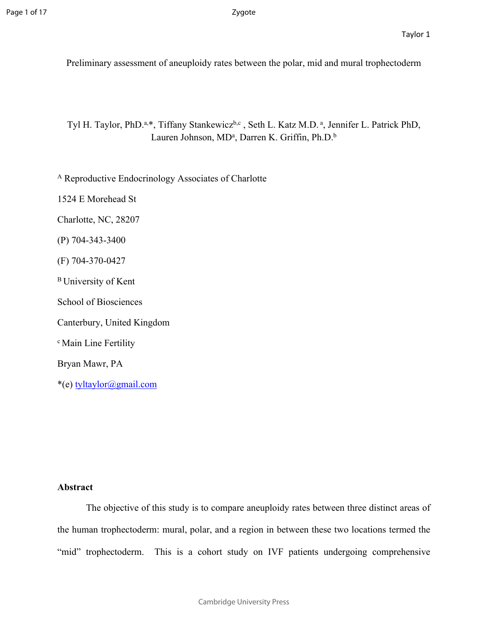Preliminary assessment of aneuploidy rates between the polar, mid and mural trophectoderm

Tyl H. Taylor, PhD.<sup>a,\*</sup>, Tiffany Stankewicz<sup>b,c</sup>, Seth L. Katz M.D.<sup>a</sup>, Jennifer L. Patrick PhD, Lauren Johnson, MD<sup>a</sup>, Darren K. Griffin, Ph.D.<sup>b</sup>

<sup>A</sup> Reproductive Endocrinology Associates of Charlotte

1524 E Morehead St

Charlotte, NC, 28207

(P) 704-343-3400

(F) 704-370-0427

<sup>B</sup>University of Kent

School of Biosciences

Canterbury, United Kingdom

<sup>c</sup> Main Line Fertility

Bryan Mawr, PA

\*(e) [tyltaylor@gmail.com](mailto:tyltaylor@gmail.com)

#### **Abstract**

The objective of this study is to compare aneuploidy rates between three distinct areas of the human trophectoderm: mural, polar, and a region in between these two locations termed the "mid" trophectoderm. This is a cohort study on IVF patients undergoing comprehensive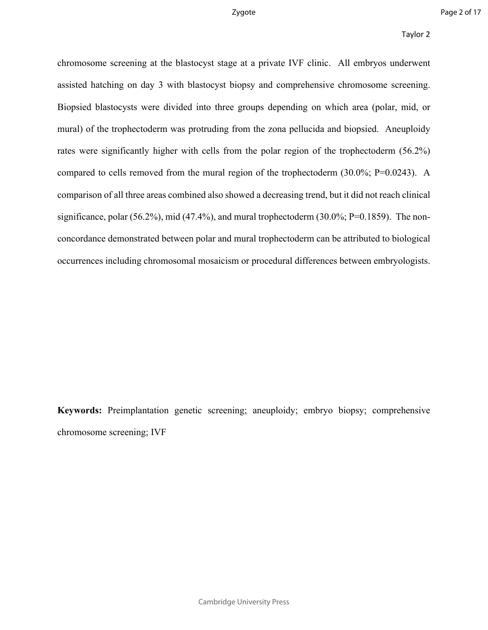chromosome screening at the blastocyst stage at a private IVF clinic. All embryos underwent assisted hatching on day 3 with blastocyst biopsy and comprehensive chromosome screening. Biopsied blastocysts were divided into three groups depending on which area (polar, mid, or mural) of the trophectoderm was protruding from the zona pellucida and biopsied. Aneuploidy rates were significantly higher with cells from the polar region of the trophectoderm (56.2%) compared to cells removed from the mural region of the trophectoderm (30.0%; P=0.0243). A comparison of all three areas combined also showed a decreasing trend, but it did not reach clinical significance, polar (56.2%), mid (47.4%), and mural trophectoderm (30.0%; P=0.1859). The nonconcordance demonstrated between polar and mural trophectoderm can be attributed to biological occurrences including chromosomal mosaicism or procedural differences between embryologists.

**Keywords:** Preimplantation genetic screening; aneuploidy; embryo biopsy; comprehensive chromosome screening; IVF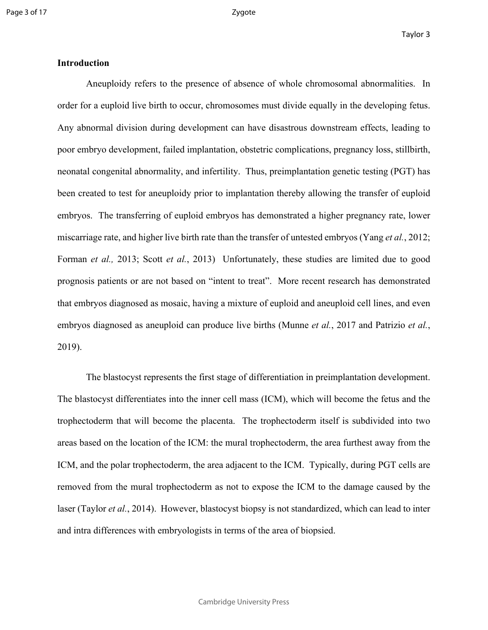#### **Introduction**

Aneuploidy refers to the presence of absence of whole chromosomal abnormalities. In order for a euploid live birth to occur, chromosomes must divide equally in the developing fetus. Any abnormal division during development can have disastrous downstream effects, leading to poor embryo development, failed implantation, obstetric complications, pregnancy loss, stillbirth, neonatal congenital abnormality, and infertility. Thus, preimplantation genetic testing (PGT) has been created to test for aneuploidy prior to implantation thereby allowing the transfer of euploid embryos. The transferring of euploid embryos has demonstrated a higher pregnancy rate, lower miscarriage rate, and higher live birth rate than the transfer of untested embryos (Yang *et al.*, 2012; Forman *et al.,* 2013; Scott *et al.*, 2013) Unfortunately, these studies are limited due to good prognosis patients or are not based on "intent to treat". More recent research has demonstrated that embryos diagnosed as mosaic, having a mixture of euploid and aneuploid cell lines, and even embryos diagnosed as aneuploid can produce live births (Munne *et al.*, 2017 and Patrizio *et al.*, 2019).

The blastocyst represents the first stage of differentiation in preimplantation development. The blastocyst differentiates into the inner cell mass (ICM), which will become the fetus and the trophectoderm that will become the placenta. The trophectoderm itself is subdivided into two areas based on the location of the ICM: the mural trophectoderm, the area furthest away from the ICM, and the polar trophectoderm, the area adjacent to the ICM. Typically, during PGT cells are removed from the mural trophectoderm as not to expose the ICM to the damage caused by the laser (Taylor *et al.*, 2014). However, blastocyst biopsy is not standardized, which can lead to inter and intra differences with embryologists in terms of the area of biopsied.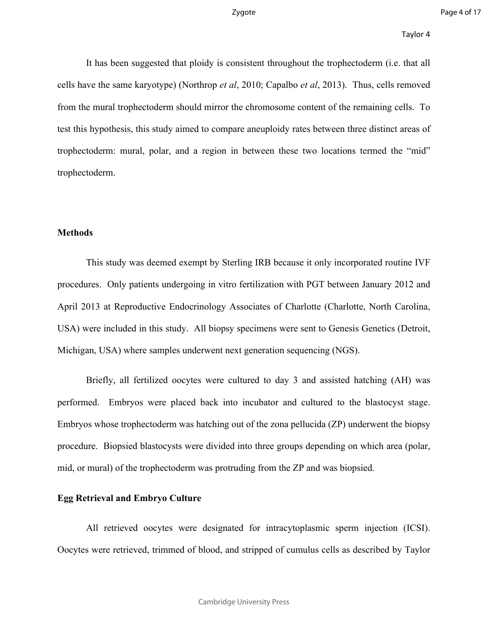It has been suggested that ploidy is consistent throughout the trophectoderm (i.e. that all cells have the same karyotype) (Northrop *et al*, 2010; Capalbo *et al*, 2013). Thus, cells removed from the mural trophectoderm should mirror the chromosome content of the remaining cells. To test this hypothesis, this study aimed to compare aneuploidy rates between three distinct areas of trophectoderm: mural, polar, and a region in between these two locations termed the "mid" trophectoderm.

#### **Methods**

This study was deemed exempt by Sterling IRB because it only incorporated routine IVF procedures. Only patients undergoing in vitro fertilization with PGT between January 2012 and April 2013 at Reproductive Endocrinology Associates of Charlotte (Charlotte, North Carolina, USA) were included in this study. All biopsy specimens were sent to Genesis Genetics (Detroit, Michigan, USA) where samples underwent next generation sequencing (NGS).

Briefly, all fertilized oocytes were cultured to day 3 and assisted hatching (AH) was performed. Embryos were placed back into incubator and cultured to the blastocyst stage. Embryos whose trophectoderm was hatching out of the zona pellucida (ZP) underwent the biopsy procedure. Biopsied blastocysts were divided into three groups depending on which area (polar, mid, or mural) of the trophectoderm was protruding from the ZP and was biopsied.

#### **Egg Retrieval and Embryo Culture**

All retrieved oocytes were designated for intracytoplasmic sperm injection (ICSI). Oocytes were retrieved, trimmed of blood, and stripped of cumulus cells as described by Taylor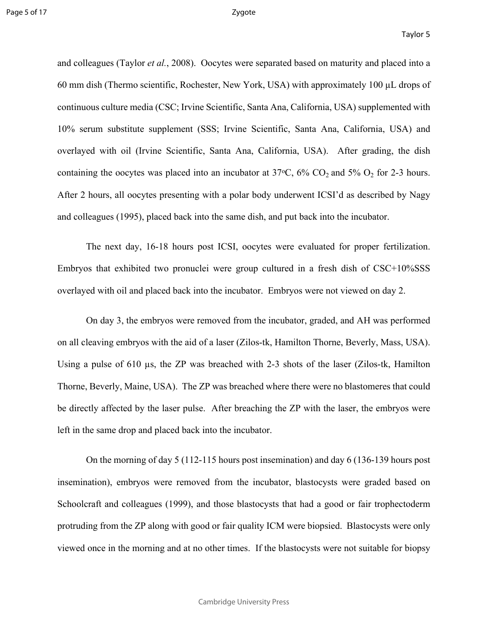and colleagues (Taylor *et al.*, 2008). Oocytes were separated based on maturity and placed into a 60 mm dish (Thermo scientific, Rochester, New York, USA) with approximately 100 µL drops of continuous culture media (CSC; Irvine Scientific, Santa Ana, California, USA) supplemented with 10% serum substitute supplement (SSS; Irvine Scientific, Santa Ana, California, USA) and overlayed with oil (Irvine Scientific, Santa Ana, California, USA). After grading, the dish containing the oocytes was placed into an incubator at  $37^{\circ}$ C,  $6\%$  CO<sub>2</sub> and  $5\%$  O<sub>2</sub> for 2-3 hours. After 2 hours, all oocytes presenting with a polar body underwent ICSI'd as described by Nagy and colleagues (1995), placed back into the same dish, and put back into the incubator.

The next day, 16-18 hours post ICSI, oocytes were evaluated for proper fertilization. Embryos that exhibited two pronuclei were group cultured in a fresh dish of CSC+10%SSS overlayed with oil and placed back into the incubator. Embryos were not viewed on day 2.

On day 3, the embryos were removed from the incubator, graded, and AH was performed on all cleaving embryos with the aid of a laser (Zilos-tk, Hamilton Thorne, Beverly, Mass, USA). Using a pulse of 610 µs, the ZP was breached with 2-3 shots of the laser (Zilos-tk, Hamilton Thorne, Beverly, Maine, USA). The ZP was breached where there were no blastomeres that could be directly affected by the laser pulse. After breaching the ZP with the laser, the embryos were left in the same drop and placed back into the incubator.

On the morning of day 5 (112-115 hours post insemination) and day 6 (136-139 hours post insemination), embryos were removed from the incubator, blastocysts were graded based on Schoolcraft and colleagues (1999), and those blastocysts that had a good or fair trophectoderm protruding from the ZP along with good or fair quality ICM were biopsied. Blastocysts were only viewed once in the morning and at no other times. If the blastocysts were not suitable for biopsy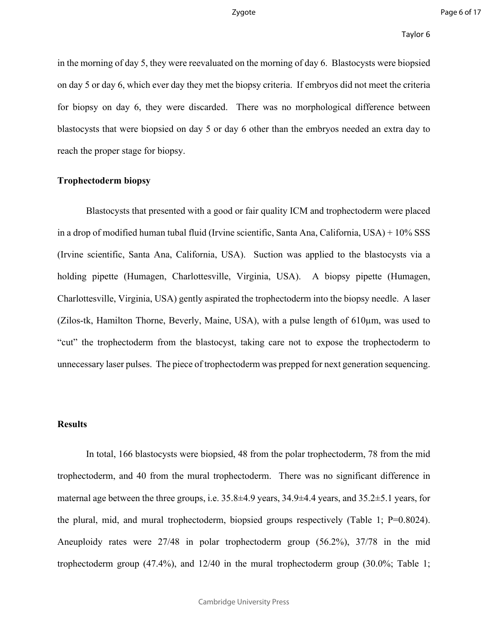in the morning of day 5, they were reevaluated on the morning of day 6. Blastocysts were biopsied on day 5 or day 6, which ever day they met the biopsy criteria. If embryos did not meet the criteria for biopsy on day 6, they were discarded. There was no morphological difference between blastocysts that were biopsied on day 5 or day 6 other than the embryos needed an extra day to reach the proper stage for biopsy.

#### **Trophectoderm biopsy**

Blastocysts that presented with a good or fair quality ICM and trophectoderm were placed in a drop of modified human tubal fluid (Irvine scientific, Santa Ana, California, USA) + 10% SSS (Irvine scientific, Santa Ana, California, USA). Suction was applied to the blastocysts via a holding pipette (Humagen, Charlottesville, Virginia, USA). A biopsy pipette (Humagen, Charlottesville, Virginia, USA) gently aspirated the trophectoderm into the biopsy needle. A laser (Zilos-tk, Hamilton Thorne, Beverly, Maine, USA), with a pulse length of 610µm, was used to "cut" the trophectoderm from the blastocyst, taking care not to expose the trophectoderm to unnecessary laser pulses. The piece of trophectoderm was prepped for next generation sequencing.

#### **Results**

In total, 166 blastocysts were biopsied, 48 from the polar trophectoderm, 78 from the mid trophectoderm, and 40 from the mural trophectoderm. There was no significant difference in maternal age between the three groups, i.e. 35.8±4.9 years, 34.9±4.4 years, and 35.2±5.1 years, for the plural, mid, and mural trophectoderm, biopsied groups respectively (Table 1; P=0.8024). Aneuploidy rates were 27/48 in polar trophectoderm group (56.2%), 37/78 in the mid trophectoderm group (47.4%), and 12/40 in the mural trophectoderm group (30.0%; Table 1;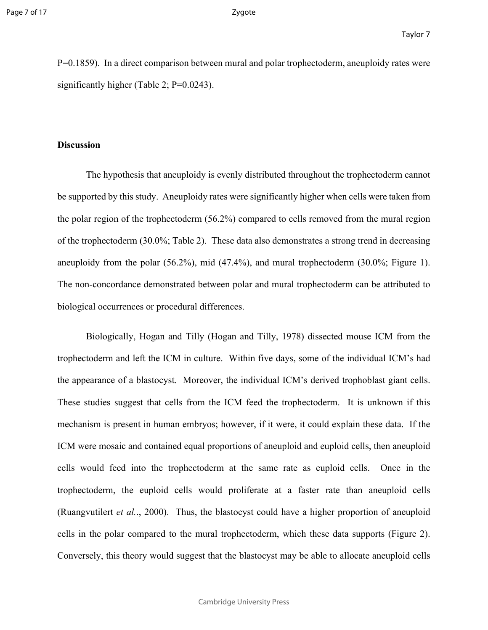P=0.1859). In a direct comparison between mural and polar trophectoderm, aneuploidy rates were significantly higher (Table 2; P=0.0243).

#### **Discussion**

The hypothesis that aneuploidy is evenly distributed throughout the trophectoderm cannot be supported by this study. Aneuploidy rates were significantly higher when cells were taken from the polar region of the trophectoderm (56.2%) compared to cells removed from the mural region of the trophectoderm (30.0%; Table 2). These data also demonstrates a strong trend in decreasing aneuploidy from the polar (56.2%), mid (47.4%), and mural trophectoderm (30.0%; Figure 1). The non-concordance demonstrated between polar and mural trophectoderm can be attributed to biological occurrences or procedural differences.

Biologically, Hogan and Tilly (Hogan and Tilly, 1978) dissected mouse ICM from the trophectoderm and left the ICM in culture. Within five days, some of the individual ICM's had the appearance of a blastocyst. Moreover, the individual ICM's derived trophoblast giant cells. These studies suggest that cells from the ICM feed the trophectoderm. It is unknown if this mechanism is present in human embryos; however, if it were, it could explain these data. If the ICM were mosaic and contained equal proportions of aneuploid and euploid cells, then aneuploid cells would feed into the trophectoderm at the same rate as euploid cells. Once in the trophectoderm, the euploid cells would proliferate at a faster rate than aneuploid cells (Ruangvutilert *et al.*., 2000). Thus, the blastocyst could have a higher proportion of aneuploid cells in the polar compared to the mural trophectoderm, which these data supports (Figure 2). Conversely, this theory would suggest that the blastocyst may be able to allocate aneuploid cells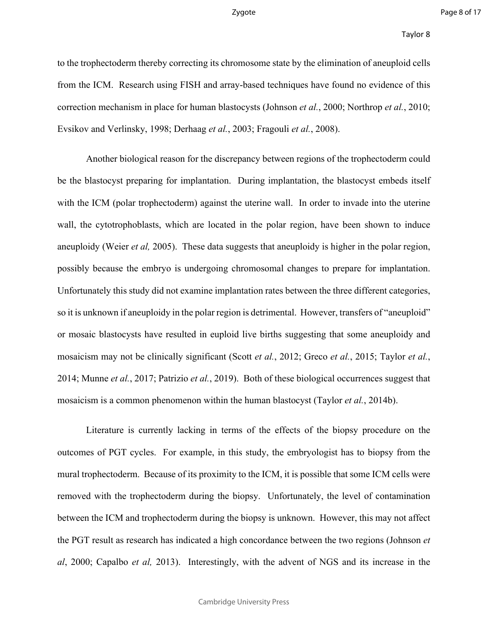to the trophectoderm thereby correcting its chromosome state by the elimination of aneuploid cells from the ICM. Research using FISH and array-based techniques have found no evidence of this correction mechanism in place for human blastocysts (Johnson *et al.*, 2000; Northrop *et al.*, 2010; Evsikov and Verlinsky, 1998; Derhaag *et al.*, 2003; Fragouli *et al.*, 2008).

Another biological reason for the discrepancy between regions of the trophectoderm could be the blastocyst preparing for implantation. During implantation, the blastocyst embeds itself with the ICM (polar trophectoderm) against the uterine wall. In order to invade into the uterine wall, the cytotrophoblasts, which are located in the polar region, have been shown to induce aneuploidy (Weier *et al,* 2005). These data suggests that aneuploidy is higher in the polar region, possibly because the embryo is undergoing chromosomal changes to prepare for implantation. Unfortunately this study did not examine implantation rates between the three different categories, so it is unknown if aneuploidy in the polar region is detrimental. However, transfers of "aneuploid" or mosaic blastocysts have resulted in euploid live births suggesting that some aneuploidy and mosaicism may not be clinically significant (Scott *et al.*, 2012; Greco *et al.*, 2015; Taylor *et al.*, 2014; Munne *et al.*, 2017; Patrizio *et al.*, 2019). Both of these biological occurrences suggest that mosaicism is a common phenomenon within the human blastocyst (Taylor *et al.*, 2014b).

Literature is currently lacking in terms of the effects of the biopsy procedure on the outcomes of PGT cycles. For example, in this study, the embryologist has to biopsy from the mural trophectoderm. Because of its proximity to the ICM, it is possible that some ICM cells were removed with the trophectoderm during the biopsy. Unfortunately, the level of contamination between the ICM and trophectoderm during the biopsy is unknown. However, this may not affect the PGT result as research has indicated a high concordance between the two regions (Johnson *et al*, 2000; Capalbo *et al,* 2013). Interestingly, with the advent of NGS and its increase in the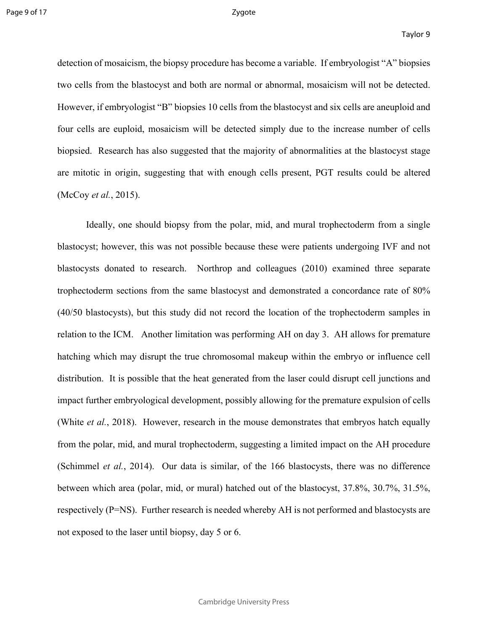detection of mosaicism, the biopsy procedure has become a variable. If embryologist "A" biopsies two cells from the blastocyst and both are normal or abnormal, mosaicism will not be detected. However, if embryologist "B" biopsies 10 cells from the blastocyst and six cells are aneuploid and four cells are euploid, mosaicism will be detected simply due to the increase number of cells biopsied. Research has also suggested that the majority of abnormalities at the blastocyst stage are mitotic in origin, suggesting that with enough cells present, PGT results could be altered (McCoy *et al.*, 2015).

Ideally, one should biopsy from the polar, mid, and mural trophectoderm from a single blastocyst; however, this was not possible because these were patients undergoing IVF and not blastocysts donated to research. Northrop and colleagues (2010) examined three separate trophectoderm sections from the same blastocyst and demonstrated a concordance rate of 80% (40/50 blastocysts), but this study did not record the location of the trophectoderm samples in relation to the ICM. Another limitation was performing AH on day 3. AH allows for premature hatching which may disrupt the true chromosomal makeup within the embryo or influence cell distribution. It is possible that the heat generated from the laser could disrupt cell junctions and impact further embryological development, possibly allowing for the premature expulsion of cells (White *et al.*, 2018). However, research in the mouse demonstrates that embryos hatch equally from the polar, mid, and mural trophectoderm, suggesting a limited impact on the AH procedure (Schimmel *et al.*, 2014). Our data is similar, of the 166 blastocysts, there was no difference between which area (polar, mid, or mural) hatched out of the blastocyst, 37.8%, 30.7%, 31.5%, respectively (P=NS). Further research is needed whereby AH is not performed and blastocysts are not exposed to the laser until biopsy, day 5 or 6.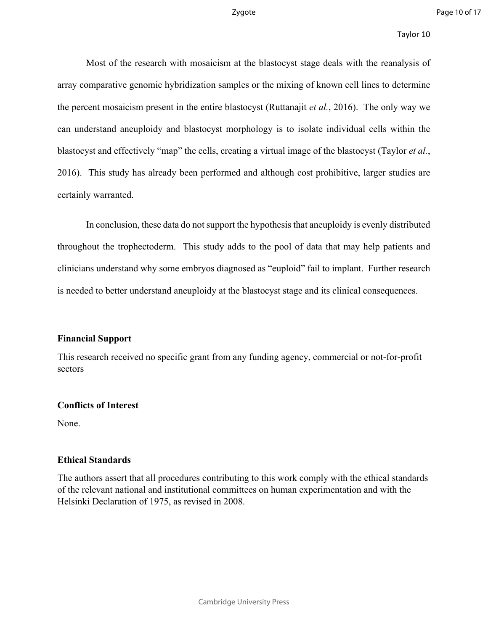#### Taylor 10

Most of the research with mosaicism at the blastocyst stage deals with the reanalysis of array comparative genomic hybridization samples or the mixing of known cell lines to determine the percent mosaicism present in the entire blastocyst (Ruttanajit *et al.*, 2016). The only way we can understand aneuploidy and blastocyst morphology is to isolate individual cells within the blastocyst and effectively "map" the cells, creating a virtual image of the blastocyst (Taylor *et al.*, 2016). This study has already been performed and although cost prohibitive, larger studies are certainly warranted.

In conclusion, these data do not support the hypothesis that aneuploidy is evenly distributed throughout the trophectoderm. This study adds to the pool of data that may help patients and clinicians understand why some embryos diagnosed as "euploid" fail to implant. Further research is needed to better understand aneuploidy at the blastocyst stage and its clinical consequences.

#### **Financial Support**

This research received no specific grant from any funding agency, commercial or not-for-profit sectors

#### **Conflicts of Interest**

None.

#### **Ethical Standards**

The authors assert that all procedures contributing to this work comply with the ethical standards of the relevant national and institutional committees on human experimentation and with the Helsinki Declaration of 1975, as revised in 2008.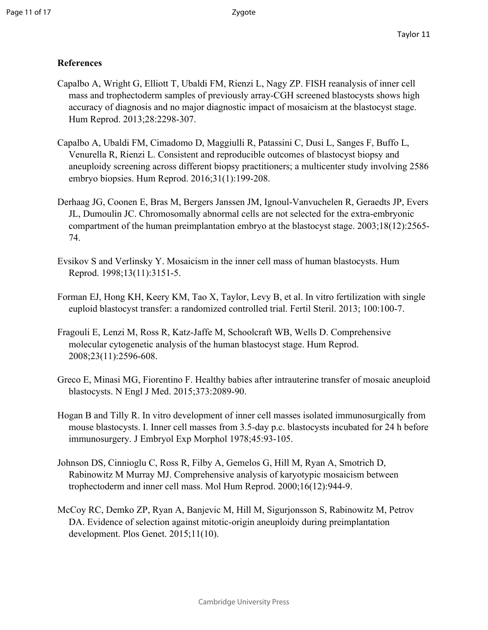#### **References**

- Capalbo A, Wright G, Elliott T, Ubaldi FM, Rienzi L, Nagy ZP. FISH reanalysis of inner cell mass and trophectoderm samples of previously array-CGH screened blastocysts shows high accuracy of diagnosis and no major diagnostic impact of mosaicism at the blastocyst stage. Hum Reprod. 2013;28:2298-307.
- Capalbo A, Ubaldi FM, Cimadomo D, Maggiulli R, Patassini C, Dusi L, Sanges F, Buffo L, Venurella R, Rienzi L. Consistent and reproducible outcomes of blastocyst biopsy and aneuploidy screening across different biopsy practitioners; a multicenter study involving 2586 embryo biopsies. Hum Reprod. 2016;31(1):199-208.
- Derhaag JG, Coonen E, Bras M, Bergers Janssen JM, Ignoul-Vanvuchelen R, Geraedts JP, Evers JL, Dumoulin JC. Chromosomally abnormal cells are not selected for the extra-embryonic compartment of the human preimplantation embryo at the blastocyst stage. 2003;18(12):2565- 74.
- Evsikov S and Verlinsky Y. Mosaicism in the inner cell mass of human blastocysts. Hum Reprod. 1998;13(11):3151-5.
- Forman EJ, Hong KH, Keery KM, Tao X, Taylor, Levy B, et al. In vitro fertilization with single euploid blastocyst transfer: a randomized controlled trial. Fertil Steril. 2013; 100:100-7.
- Fragouli E, Lenzi M, Ross R, Katz-Jaffe M, Schoolcraft WB, Wells D. Comprehensive molecular cytogenetic analysis of the human blastocyst stage. Hum Reprod. 2008;23(11):2596-608.
- Greco E, Minasi MG, Fiorentino F. Healthy babies after intrauterine transfer of mosaic aneuploid blastocysts. N Engl J Med. 2015;373:2089-90.
- Hogan B and Tilly R. In vitro development of inner cell masses isolated immunosurgically from mouse blastocysts. I. Inner cell masses from 3.5-day p.c. blastocysts incubated for 24 h before immunosurgery. J Embryol Exp Morphol 1978;45:93-105.
- Johnson DS, Cinnioglu C, Ross R, Filby A, Gemelos G, Hill M, Ryan A, Smotrich D, Rabinowitz M Murray MJ. Comprehensive analysis of karyotypic mosaicism between trophectoderm and inner cell mass. Mol Hum Reprod. 2000;16(12):944-9.
- McCoy RC, Demko ZP, Ryan A, Banjevic M, Hill M, Sigurjonsson S, Rabinowitz M, Petrov DA. Evidence of selection against mitotic-origin aneuploidy during preimplantation development. Plos Genet. 2015;11(10).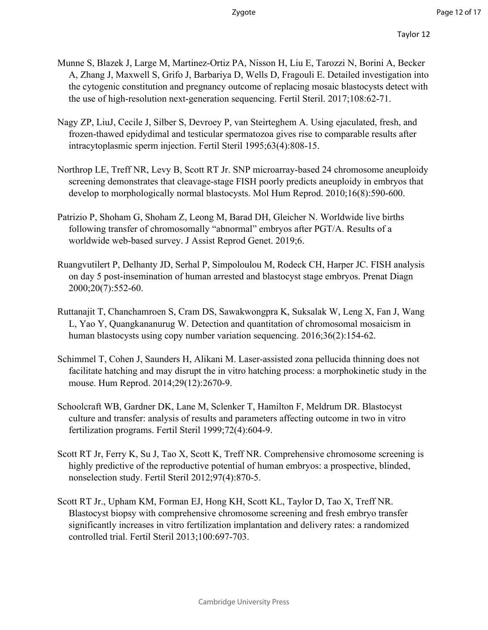- Munne S, Blazek J, Large M, Martinez-Ortiz PA, Nisson H, Liu E, Tarozzi N, Borini A, Becker A, Zhang J, Maxwell S, Grifo J, Barbariya D, Wells D, Fragouli E. Detailed investigation into the cytogenic constitution and pregnancy outcome of replacing mosaic blastocysts detect with the use of high-resolution next-generation sequencing. Fertil Steril. 2017;108:62-71.
- Nagy ZP, LiuJ, Cecile J, Silber S, Devroey P, van Steirteghem A. Using ejaculated, fresh, and frozen-thawed epidydimal and testicular spermatozoa gives rise to comparable results after intracytoplasmic sperm injection. Fertil Steril 1995;63(4):808-15.
- Northrop LE, Treff NR, Levy B, Scott RT Jr. SNP microarray-based 24 chromosome aneuploidy screening demonstrates that cleavage-stage FISH poorly predicts aneuploidy in embryos that develop to morphologically normal blastocysts. Mol Hum Reprod. 2010;16(8):590-600.
- Patrizio P, Shoham G, Shoham Z, Leong M, Barad DH, Gleicher N. Worldwide live births following transfer of chromosomally "abnormal" embryos after PGT/A. Results of a worldwide web-based survey. J Assist Reprod Genet. 2019;6.
- Ruangvutilert P, Delhanty JD, Serhal P, Simpoloulou M, Rodeck CH, Harper JC. FISH analysis on day 5 post-insemination of human arrested and blastocyst stage embryos. Prenat Diagn 2000;20(7):552-60.
- Ruttanajit T, Chanchamroen S, Cram DS, Sawakwongpra K, Suksalak W, Leng X, Fan J, Wang L, Yao Y, Quangkananurug W. Detection and quantitation of chromosomal mosaicism in human blastocysts using copy number variation sequencing. 2016;36(2):154-62.
- Schimmel T, Cohen J, Saunders H, Alikani M. Laser-assisted zona pellucida thinning does not facilitate hatching and may disrupt the in vitro hatching process: a morphokinetic study in the mouse. Hum Reprod. 2014;29(12):2670-9.
- Schoolcraft WB, Gardner DK, Lane M, Sclenker T, Hamilton F, Meldrum DR. Blastocyst culture and transfer: analysis of results and parameters affecting outcome in two in vitro fertilization programs. Fertil Steril 1999;72(4):604-9.
- Scott RT Jr, Ferry K, Su J, Tao X, Scott K, Treff NR. Comprehensive chromosome screening is highly predictive of the reproductive potential of human embryos: a prospective, blinded, nonselection study. Fertil Steril 2012;97(4):870-5.
- Scott RT Jr., Upham KM, Forman EJ, Hong KH, Scott KL, Taylor D, Tao X, Treff NR. Blastocyst biopsy with comprehensive chromosome screening and fresh embryo transfer significantly increases in vitro fertilization implantation and delivery rates: a randomized controlled trial. Fertil Steril 2013;100:697-703.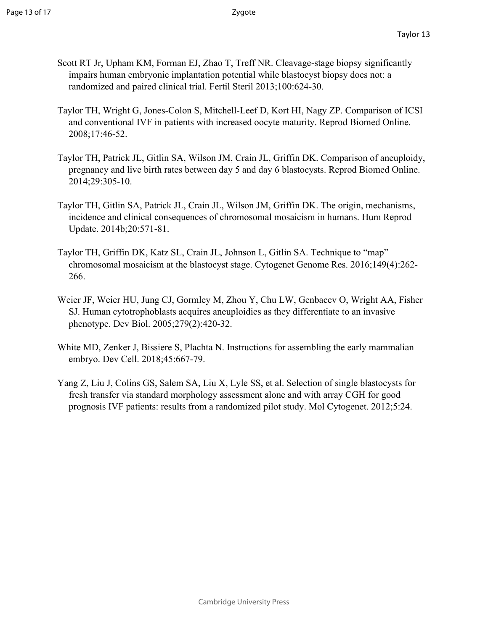- Scott RT Jr, Upham KM, Forman EJ, Zhao T, Treff NR. Cleavage-stage biopsy significantly impairs human embryonic implantation potential while blastocyst biopsy does not: a randomized and paired clinical trial. Fertil Steril 2013;100:624-30.
- Taylor TH, Wright G, Jones-Colon S, Mitchell-Leef D, Kort HI, Nagy ZP. Comparison of ICSI and conventional IVF in patients with increased oocyte maturity. Reprod Biomed Online. 2008;17:46-52.
- Taylor TH, Patrick JL, Gitlin SA, Wilson JM, Crain JL, Griffin DK. Comparison of aneuploidy, pregnancy and live birth rates between day 5 and day 6 blastocysts. Reprod Biomed Online. 2014;29:305-10.
- Taylor TH, Gitlin SA, Patrick JL, Crain JL, Wilson JM, Griffin DK. The origin, mechanisms, incidence and clinical consequences of chromosomal mosaicism in humans. Hum Reprod Update. 2014b;20:571-81.
- Taylor TH, Griffin DK, Katz SL, Crain JL, Johnson L, Gitlin SA. Technique to "map" chromosomal mosaicism at the blastocyst stage. Cytogenet Genome Res. 2016;149(4):262- 266.
- Weier JF, Weier HU, Jung CJ, Gormley M, Zhou Y, Chu LW, Genbacev O, Wright AA, Fisher SJ. Human cytotrophoblasts acquires aneuploidies as they differentiate to an invasive phenotype. Dev Biol. 2005;279(2):420-32.
- White MD, Zenker J, Bissiere S, Plachta N. Instructions for assembling the early mammalian embryo. Dev Cell. 2018;45:667-79.
- Yang Z, Liu J, Colins GS, Salem SA, Liu X, Lyle SS, et al. Selection of single blastocysts for fresh transfer via standard morphology assessment alone and with array CGH for good prognosis IVF patients: results from a randomized pilot study. Mol Cytogenet. 2012;5:24.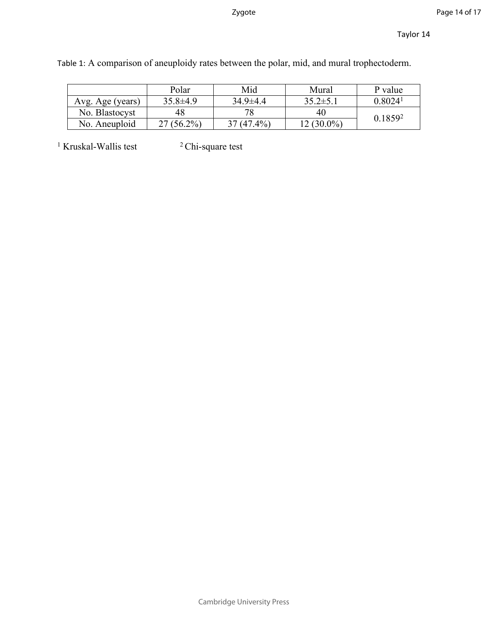|                  | Polar        | Mid            | Mural          | P value             |
|------------------|--------------|----------------|----------------|---------------------|
| Avg. Age (years) | $35.8\pm4.9$ | $34.9 \pm 4.4$ | $35.2 \pm 5.1$ | 0.8024 <sup>1</sup> |
| No. Blastocyst   | 48           | 78             | 40             | 0.18592             |
| No. Aneuploid    | $27(56.2\%)$ | $37(47.4\%)$   | $12(30.0\%)$   |                     |

Table 1: A comparison of aneuploidy rates between the polar, mid, and mural trophectoderm.

<sup>1</sup> Kruskal-Wallis test <sup>2</sup> Chi-square test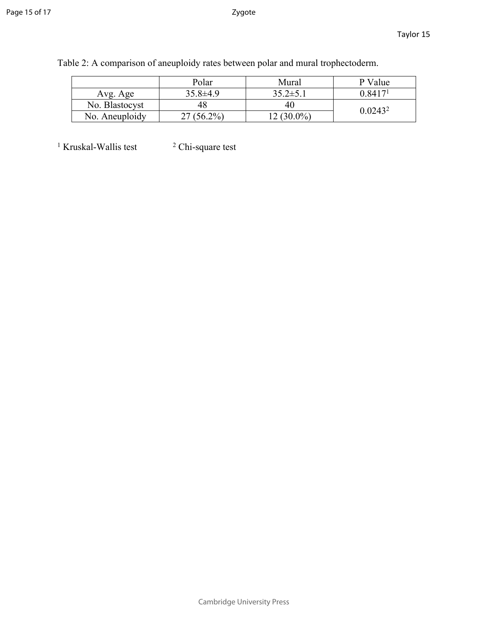|                | Polar          | Mural          | P Value             |  |
|----------------|----------------|----------------|---------------------|--|
| Avg. Age       | $35.8 \pm 4.9$ | $35.2 \pm 5.1$ | 0.8417 <sup>1</sup> |  |
| No. Blastocyst |                | 40             | $0.0243^2$          |  |
| No. Aneuploidy | $(56.2\%)$     | 12 (30.0%)     |                     |  |

Table 2: A comparison of aneuploidy rates between polar and mural trophectoderm.

 $<sup>1</sup>$  Kruskal-Wallis test  $<sup>2</sup>$ </sup></sup> <sup>2</sup> Chi-square test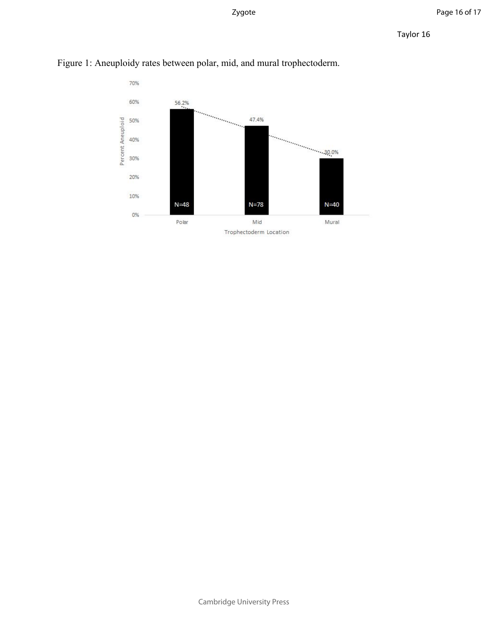

Figure 1: Aneuploidy rates between polar, mid, and mural trophectoderm.